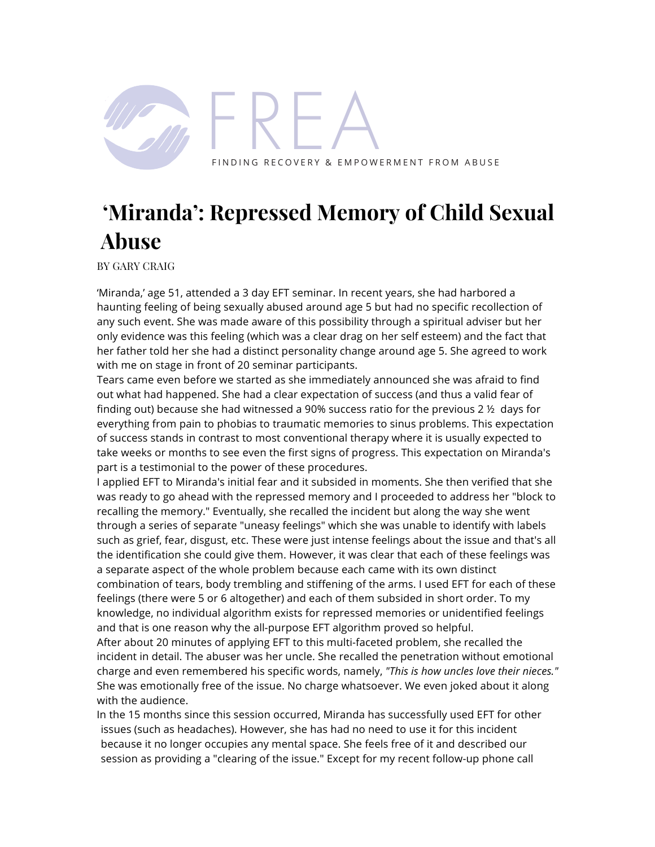

## **'Miranda': Repressed Memory of Child Sexual Abuse**

BY GARY CRAIG

'Miranda,' age 51, attended a 3 day EFT seminar. In recent years, she had harbored a haunting feeling of being sexually abused around age 5 but had no specific recollection of any such event. She was made aware of this possibility through a spiritual adviser but her only evidence was this feeling (which was a clear drag on her self esteem) and the fact that her father told her she had a distinct personality change around age 5. She agreed to work with me on stage in front of 20 seminar participants.

Tears came even before we started as she immediately announced she was afraid to find out what had happened. She had a clear expectation of success (and thus a valid fear of finding out) because she had witnessed a 90% success ratio for the previous 2  $\frac{1}{2}$  days for everything from pain to phobias to traumatic memories to sinus problems. This expectation of success stands in contrast to most conventional therapy where it is usually expected to take weeks or months to see even the first signs of progress. This expectation on Miranda's part is a testimonial to the power of these procedures.

I applied EFT to Miranda's initial fear and it subsided in moments. She then verified that she was ready to go ahead with the repressed memory and I proceeded to address her "block to recalling the memory." Eventually, she recalled the incident but along the way she went through a series of separate "uneasy feelings" which she was unable to identify with labels such as grief, fear, disgust, etc. These were just intense feelings about the issue and that's all the identification she could give them. However, it was clear that each of these feelings was a separate aspect of the whole problem because each came with its own distinct combination of tears, body trembling and stiffening of the arms. I used EFT for each of these feelings (there were 5 or 6 altogether) and each of them subsided in short order. To my knowledge, no individual algorithm exists for repressed memories or unidentified feelings and that is one reason why the all-purpose EFT algorithm proved so helpful.

After about 20 minutes of applying EFT to this multi-faceted problem, she recalled the incident in detail. The abuser was her uncle. She recalled the penetration without emotional charge and even remembered his specific words, namely, *"This is how uncles love their nieces."*  She was emotionally free of the issue. No charge whatsoever. We even joked about it along with the audience.

In the 15 months since this session occurred, Miranda has successfully used EFT for other issues (such as headaches). However, she has had no need to use it for this incident because it no longer occupies any mental space. She feels free of it and described our session as providing a "clearing of the issue." Except for my recent follow-up phone call